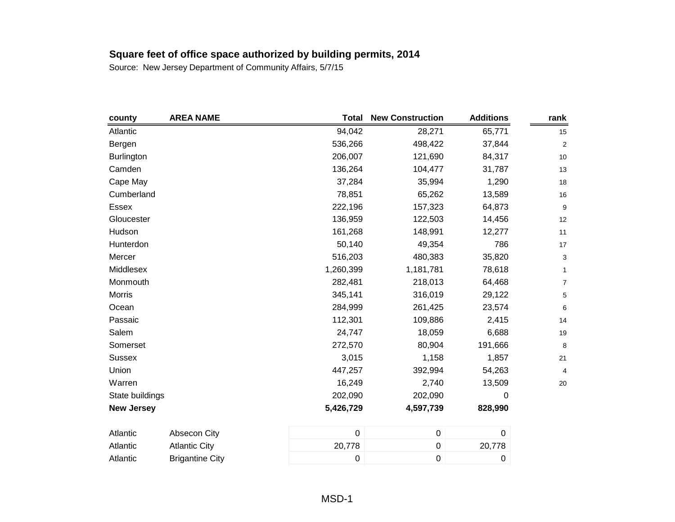| county            | <b>AREA NAME</b>       | <b>Total</b> | <b>New Construction</b> | <b>Additions</b> | rank             |
|-------------------|------------------------|--------------|-------------------------|------------------|------------------|
| Atlantic          |                        | 94,042       | 28,271                  | 65,771           | 15               |
| Bergen            |                        | 536,266      | 498,422                 | 37,844           | $\boldsymbol{2}$ |
| <b>Burlington</b> |                        | 206,007      | 121,690                 | 84,317           | 10               |
| Camden            |                        | 136,264      | 104,477                 | 31,787           | 13               |
| Cape May          |                        | 37,284       | 35,994                  | 1,290            | 18               |
| Cumberland        |                        | 78,851       | 65,262                  | 13,589           | 16               |
| Essex             |                        | 222,196      | 157,323                 | 64,873           | 9                |
| Gloucester        |                        | 136,959      | 122,503                 | 14,456           | 12               |
| Hudson            |                        | 161,268      | 148,991                 | 12,277           | 11               |
| Hunterdon         |                        | 50,140       | 49,354                  | 786              | 17               |
| Mercer            |                        | 516,203      | 480,383                 | 35,820           | 3                |
| Middlesex         |                        | 1,260,399    | 1,181,781               | 78,618           | $\mathbf{1}$     |
| Monmouth          |                        | 282,481      | 218,013                 | 64,468           | $\boldsymbol{7}$ |
| <b>Morris</b>     |                        | 345,141      | 316,019                 | 29,122           | 5                |
| Ocean             |                        | 284,999      | 261,425                 | 23,574           | 6                |
| Passaic           |                        | 112,301      | 109,886                 | 2,415            | 14               |
| Salem             |                        | 24,747       | 18,059                  | 6,688            | 19               |
| Somerset          |                        | 272,570      | 80,904                  | 191,666          | 8                |
| <b>Sussex</b>     |                        | 3,015        | 1,158                   | 1,857            | 21               |
| Union             |                        | 447,257      | 392,994                 | 54,263           | 4                |
| Warren            |                        | 16,249       | 2,740                   | 13,509           | $20\,$           |
| State buildings   |                        | 202,090      | 202,090                 | 0                |                  |
| <b>New Jersey</b> |                        | 5,426,729    | 4,597,739               | 828,990          |                  |
| Atlantic          | Absecon City           | $\pmb{0}$    | $\pmb{0}$               | $\boldsymbol{0}$ |                  |
| Atlantic          | <b>Atlantic City</b>   | 20,778       | $\boldsymbol{0}$        | 20,778           |                  |
| Atlantic          | <b>Brigantine City</b> | $\mathbf 0$  | $\boldsymbol{0}$        | $\boldsymbol{0}$ |                  |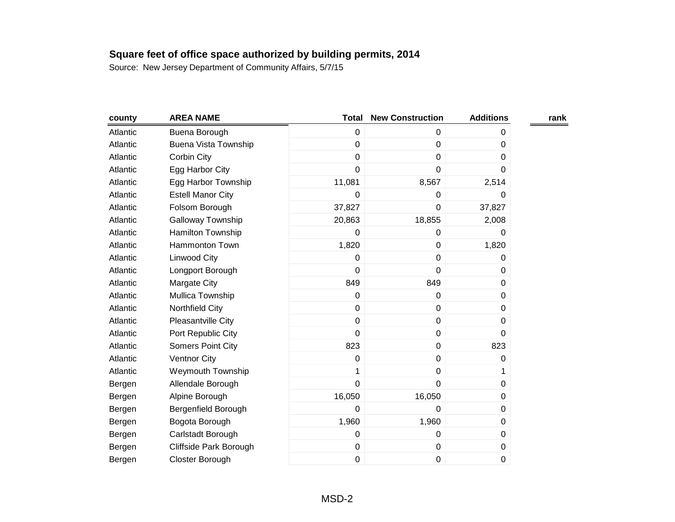| county   | <b>AREA NAME</b>            | <b>Total</b>   | <b>New Construction</b> | <b>Additions</b> | rank |
|----------|-----------------------------|----------------|-------------------------|------------------|------|
| Atlantic | Buena Borough               | $\mathbf 0$    | 0                       | 0                |      |
| Atlantic | <b>Buena Vista Township</b> | $\mathbf 0$    | $\mathbf 0$             | 0                |      |
| Atlantic | Corbin City                 | $\mathbf 0$    | 0                       | 0                |      |
| Atlantic | Egg Harbor City             | $\mathbf 0$    | 0                       | 0                |      |
| Atlantic | Egg Harbor Township         | 11,081         | 8,567                   | 2,514            |      |
| Atlantic | <b>Estell Manor City</b>    | 0              | 0                       | 0                |      |
| Atlantic | Folsom Borough              | 37,827         | $\mathbf 0$             | 37,827           |      |
| Atlantic | Galloway Township           | 20,863         | 18,855                  | 2,008            |      |
| Atlantic | <b>Hamilton Township</b>    | 0              | 0                       | 0                |      |
| Atlantic | <b>Hammonton Town</b>       | 1,820          | $\pmb{0}$               | 1,820            |      |
| Atlantic | Linwood City                | $\mathbf 0$    | 0                       | 0                |      |
| Atlantic | Longport Borough            | $\pmb{0}$      | $\pmb{0}$               | 0                |      |
| Atlantic | Margate City                | 849            | 849                     | 0                |      |
| Atlantic | Mullica Township            | $\mathbf 0$    | 0                       | 0                |      |
| Atlantic | Northfield City             | $\mathbf 0$    | $\pmb{0}$               | 0                |      |
| Atlantic | Pleasantville City          | $\mathbf 0$    | 0                       | 0                |      |
| Atlantic | Port Republic City          | $\mathbf 0$    | $\pmb{0}$               | 0                |      |
| Atlantic | Somers Point City           | 823            | $\pmb{0}$               | 823              |      |
| Atlantic | <b>Ventnor City</b>         | 0              | 0                       | 0                |      |
| Atlantic | <b>Weymouth Township</b>    | 1              | 0                       | 1                |      |
| Bergen   | Allendale Borough           | $\overline{0}$ | 0                       | 0                |      |
| Bergen   | Alpine Borough              | 16,050         | 16,050                  | 0                |      |
| Bergen   | Bergenfield Borough         | 0              | 0                       | 0                |      |
| Bergen   | Bogota Borough              | 1,960          | 1,960                   | 0                |      |
| Bergen   | Carlstadt Borough           | $\mathbf 0$    | 0                       | 0                |      |
| Bergen   | Cliffside Park Borough      | $\pmb{0}$      | $\pmb{0}$               | 0                |      |
| Bergen   | Closter Borough             | $\mathbf 0$    | 0                       | 0                |      |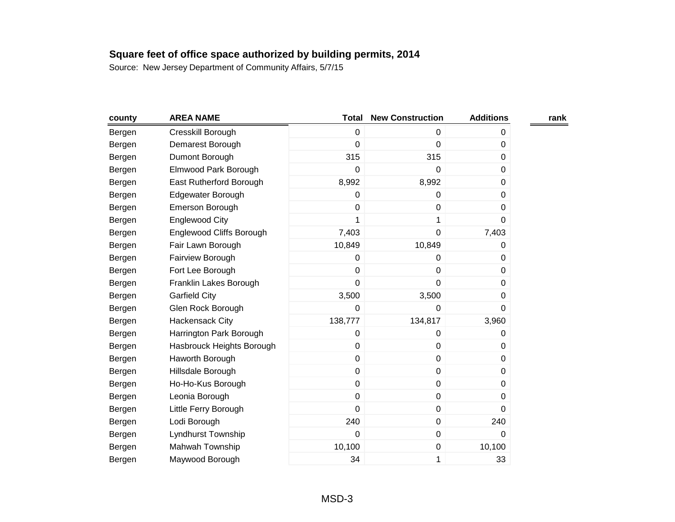| county | <b>AREA NAME</b>          | <b>Total</b> | <b>New Construction</b> | <b>Additions</b> | rank |
|--------|---------------------------|--------------|-------------------------|------------------|------|
| Bergen | Cresskill Borough         | $\mathbf 0$  | 0                       | 0                |      |
| Bergen | Demarest Borough          | $\mathbf 0$  | 0                       | 0                |      |
| Bergen | Dumont Borough            | 315          | 315                     | 0                |      |
| Bergen | Elmwood Park Borough      | $\mathbf 0$  | $\mathbf 0$             | 0                |      |
| Bergen | East Rutherford Borough   | 8,992        | 8,992                   | 0                |      |
| Bergen | Edgewater Borough         | $\Omega$     | 0                       | 0                |      |
| Bergen | Emerson Borough           | $\mathbf 0$  | 0                       | 0                |      |
| Bergen | Englewood City            | 1            | 1                       | 0                |      |
| Bergen | Englewood Cliffs Borough  | 7,403        | 0                       | 7,403            |      |
| Bergen | Fair Lawn Borough         | 10,849       | 10,849                  | 0                |      |
| Bergen | Fairview Borough          | 0            | 0                       | 0                |      |
| Bergen | Fort Lee Borough          | $\mathbf 0$  | 0                       | 0                |      |
| Bergen | Franklin Lakes Borough    | $\mathbf 0$  | 0                       | 0                |      |
| Bergen | <b>Garfield City</b>      | 3,500        | 3,500                   | 0                |      |
| Bergen | Glen Rock Borough         | $\mathbf 0$  | 0                       | 0                |      |
| Bergen | Hackensack City           | 138,777      | 134,817                 | 3,960            |      |
| Bergen | Harrington Park Borough   | $\pmb{0}$    | 0                       | 0                |      |
| Bergen | Hasbrouck Heights Borough | $\mathbf 0$  | 0                       | 0                |      |
| Bergen | Haworth Borough           | $\mathbf 0$  | 0                       | 0                |      |
| Bergen | Hillsdale Borough         | $\mathbf 0$  | $\pmb{0}$               | 0                |      |
| Bergen | Ho-Ho-Kus Borough         | $\mathbf 0$  | $\pmb{0}$               | 0                |      |
| Bergen | Leonia Borough            | $\mathbf 0$  | $\pmb{0}$               | 0                |      |
| Bergen | Little Ferry Borough      | $\mathbf 0$  | $\pmb{0}$               | 0                |      |
| Bergen | Lodi Borough              | 240          | 0                       | 240              |      |
| Bergen | Lyndhurst Township        | 0            | $\pmb{0}$               | 0                |      |
| Bergen | Mahwah Township           | 10,100       | $\pmb{0}$               | 10,100           |      |
| Bergen | Maywood Borough           | 34           | 1                       | 33               |      |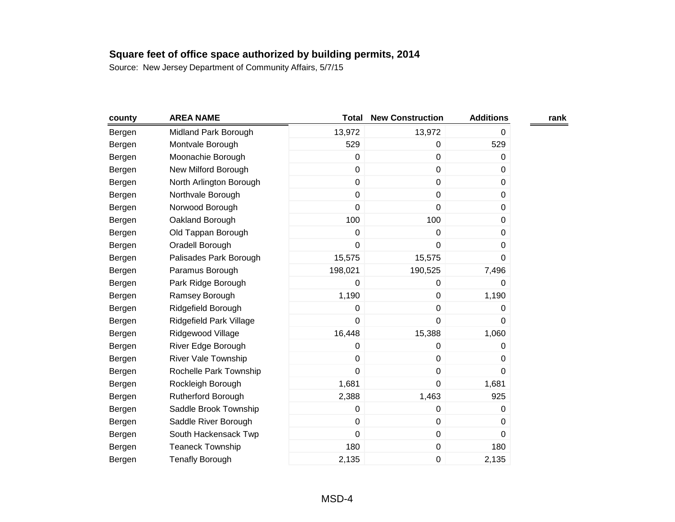| county | <b>AREA NAME</b>           | Total       | <b>New Construction</b> | <b>Additions</b> | rank |
|--------|----------------------------|-------------|-------------------------|------------------|------|
| Bergen | Midland Park Borough       | 13,972      | 13,972                  | 0                |      |
| Bergen | Montvale Borough           | 529         | 0                       | 529              |      |
| Bergen | Moonachie Borough          | $\mathbf 0$ | $\boldsymbol{0}$        | 0                |      |
| Bergen | New Milford Borough        | $\mathbf 0$ | $\pmb{0}$               | 0                |      |
| Bergen | North Arlington Borough    | $\mathbf 0$ | $\mathbf 0$             | 0                |      |
| Bergen | Northvale Borough          | $\mathbf 0$ | $\boldsymbol{0}$        | 0                |      |
| Bergen | Norwood Borough            | $\pmb{0}$   | 0                       | 0                |      |
| Bergen | Oakland Borough            | 100         | 100                     | 0                |      |
| Bergen | Old Tappan Borough         | $\pmb{0}$   | $\boldsymbol{0}$        | 0                |      |
| Bergen | Oradell Borough            | $\mathbf 0$ | $\boldsymbol{0}$        | 0                |      |
| Bergen | Palisades Park Borough     | 15,575      | 15,575                  | 0                |      |
| Bergen | Paramus Borough            | 198,021     | 190,525                 | 7,496            |      |
| Bergen | Park Ridge Borough         | $\mathbf 0$ | 0                       | 0                |      |
| Bergen | Ramsey Borough             | 1,190       | $\pmb{0}$               | 1,190            |      |
| Bergen | Ridgefield Borough         | $\pmb{0}$   | $\pmb{0}$               | 0                |      |
| Bergen | Ridgefield Park Village    | $\mathbf 0$ | 0                       | 0                |      |
| Bergen | Ridgewood Village          | 16,448      | 15,388                  | 1,060            |      |
| Bergen | River Edge Borough         | $\pmb{0}$   | $\pmb{0}$               | 0                |      |
| Bergen | <b>River Vale Township</b> | $\pmb{0}$   | $\boldsymbol{0}$        | 0                |      |
| Bergen | Rochelle Park Township     | $\mathbf 0$ | $\pmb{0}$               | $\mathbf 0$      |      |
| Bergen | Rockleigh Borough          | 1,681       | $\pmb{0}$               | 1,681            |      |
| Bergen | Rutherford Borough         | 2,388       | 1,463                   | 925              |      |
| Bergen | Saddle Brook Township      | $\mathbf 0$ | $\pmb{0}$               | 0                |      |
| Bergen | Saddle River Borough       | $\mathbf 0$ | $\pmb{0}$               | 0                |      |
| Bergen | South Hackensack Twp       | $\mathbf 0$ | $\pmb{0}$               | 0                |      |
| Bergen | <b>Teaneck Township</b>    | 180         | $\pmb{0}$               | 180              |      |
| Bergen | <b>Tenafly Borough</b>     | 2,135       | 0                       | 2,135            |      |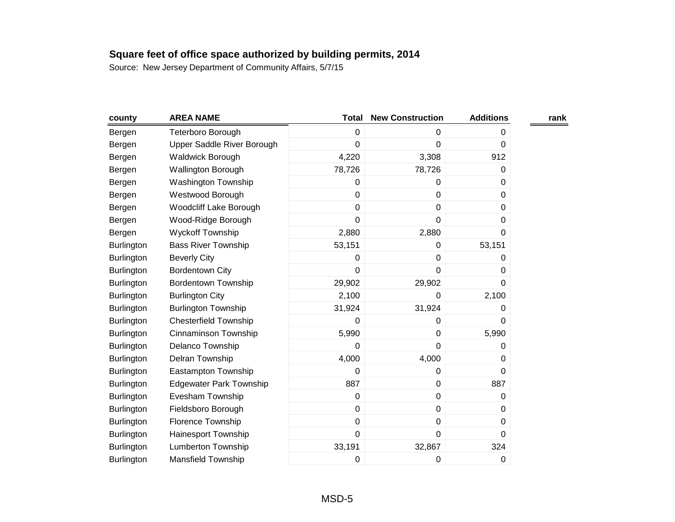| county            | <b>AREA NAME</b>               | <b>Total</b>   | <b>New Construction</b> | <b>Additions</b> | rank |
|-------------------|--------------------------------|----------------|-------------------------|------------------|------|
| Bergen            | Teterboro Borough              | $\mathbf 0$    | 0                       | 0                |      |
| Bergen            | Upper Saddle River Borough     | 0              | 0                       | 0                |      |
| Bergen            | Waldwick Borough               | 4,220          | 3,308                   | 912              |      |
| Bergen            | Wallington Borough             | 78,726         | 78,726                  | 0                |      |
| Bergen            | Washington Township            | 0              | 0                       | 0                |      |
| Bergen            | Westwood Borough               | $\mathbf 0$    | $\mathbf 0$             | 0                |      |
| Bergen            | Woodcliff Lake Borough         | $\pmb{0}$      | $\pmb{0}$               | 0                |      |
| Bergen            | Wood-Ridge Borough             | $\overline{0}$ | $\mathbf 0$             | 0                |      |
| Bergen            | <b>Wyckoff Township</b>        | 2,880          | 2,880                   | 0                |      |
| <b>Burlington</b> | <b>Bass River Township</b>     | 53,151         | 0                       | 53,151           |      |
| Burlington        | <b>Beverly City</b>            | 0              | $\mathbf 0$             | 0                |      |
| <b>Burlington</b> | <b>Bordentown City</b>         | $\mathbf 0$    | $\mathbf 0$             | 0                |      |
| <b>Burlington</b> | <b>Bordentown Township</b>     | 29,902         | 29,902                  | 0                |      |
| <b>Burlington</b> | <b>Burlington City</b>         | 2,100          | $\mathbf 0$             | 2,100            |      |
| <b>Burlington</b> | <b>Burlington Township</b>     | 31,924         | 31,924                  | 0                |      |
| Burlington        | <b>Chesterfield Township</b>   | 0              | 0                       | 0                |      |
| Burlington        | Cinnaminson Township           | 5,990          | $\pmb{0}$               | 5,990            |      |
| <b>Burlington</b> | Delanco Township               | $\mathbf 0$    | $\mathbf 0$             | 0                |      |
| <b>Burlington</b> | Delran Township                | 4,000          | 4,000                   | 0                |      |
| <b>Burlington</b> | Eastampton Township            | $\mathbf 0$    | $\mathbf 0$             | 0                |      |
| <b>Burlington</b> | <b>Edgewater Park Township</b> | 887            | $\mathbf 0$             | 887              |      |
| <b>Burlington</b> | Evesham Township               | 0              | $\boldsymbol{0}$        | 0                |      |
| <b>Burlington</b> | Fieldsboro Borough             | $\pmb{0}$      | $\pmb{0}$               | 0                |      |
| <b>Burlington</b> | Florence Township              | $\pmb{0}$      | $\pmb{0}$               | 0                |      |
| Burlington        | Hainesport Township            | $\mathbf 0$    | $\mathbf 0$             | 0                |      |
| <b>Burlington</b> | <b>Lumberton Township</b>      | 33,191         | 32,867                  | 324              |      |
| Burlington        | Mansfield Township             | 0              | 0                       | 0                |      |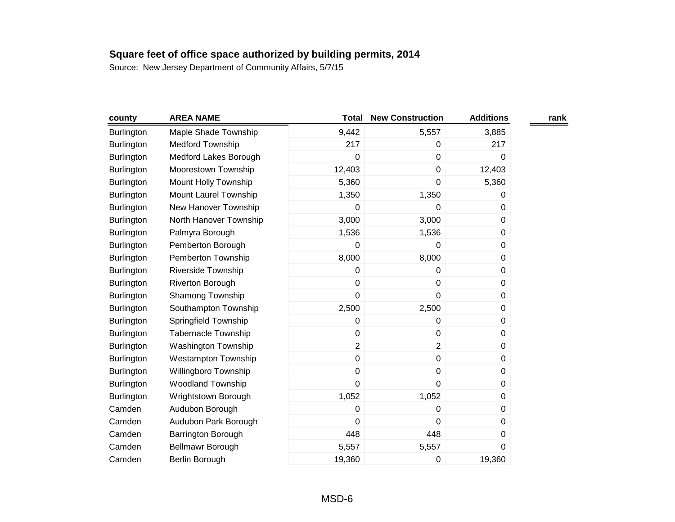| county            | <b>AREA NAME</b>           | Total          | <b>New Construction</b> | <b>Additions</b> | rank |
|-------------------|----------------------------|----------------|-------------------------|------------------|------|
| <b>Burlington</b> | Maple Shade Township       | 9,442          | 5,557                   | 3,885            |      |
| Burlington        | <b>Medford Township</b>    | 217            | 0                       | 217              |      |
| Burlington        | Medford Lakes Borough      | 0              | 0                       | 0                |      |
| Burlington        | Moorestown Township        | 12,403         | $\pmb{0}$               | 12,403           |      |
| <b>Burlington</b> | Mount Holly Township       | 5,360          | $\mathbf 0$             | 5,360            |      |
| Burlington        | Mount Laurel Township      | 1,350          | 1,350                   | 0                |      |
| Burlington        | New Hanover Township       | 0              | 0                       | 0                |      |
| <b>Burlington</b> | North Hanover Township     | 3,000          | 3,000                   | 0                |      |
| <b>Burlington</b> | Palmyra Borough            | 1,536          | 1,536                   | 0                |      |
| Burlington        | Pemberton Borough          | 0              | 0                       | 0                |      |
| <b>Burlington</b> | Pemberton Township         | 8,000          | 8,000                   | 0                |      |
| <b>Burlington</b> | <b>Riverside Township</b>  | 0              | 0                       | 0                |      |
| Burlington        | Riverton Borough           | 0              | 0                       | 0                |      |
| <b>Burlington</b> | Shamong Township           | 0              | $\pmb{0}$               | 0                |      |
| <b>Burlington</b> | Southampton Township       | 2,500          | 2,500                   | 0                |      |
| <b>Burlington</b> | Springfield Township       | 0              | 0                       | 0                |      |
| <b>Burlington</b> | <b>Tabernacle Township</b> | 0              | $\pmb{0}$               | 0                |      |
| <b>Burlington</b> | Washington Township        | $\overline{2}$ | $\overline{2}$          | 0                |      |
| <b>Burlington</b> | Westampton Township        | 0              | $\pmb{0}$               | 0                |      |
| Burlington        | Willingboro Township       | 0              | $\pmb{0}$               | 0                |      |
| <b>Burlington</b> | <b>Woodland Township</b>   | 0              | $\mathbf 0$             | 0                |      |
| <b>Burlington</b> | Wrightstown Borough        | 1,052          | 1,052                   | 0                |      |
| Camden            | Audubon Borough            | 0              | 0                       | 0                |      |
| Camden            | Audubon Park Borough       | 0              | 0                       | 0                |      |
| Camden            | Barrington Borough         | 448            | 448                     | 0                |      |
| Camden            | <b>Bellmawr Borough</b>    | 5,557          | 5,557                   | 0                |      |
| Camden            | Berlin Borough             | 19,360         | 0                       | 19,360           |      |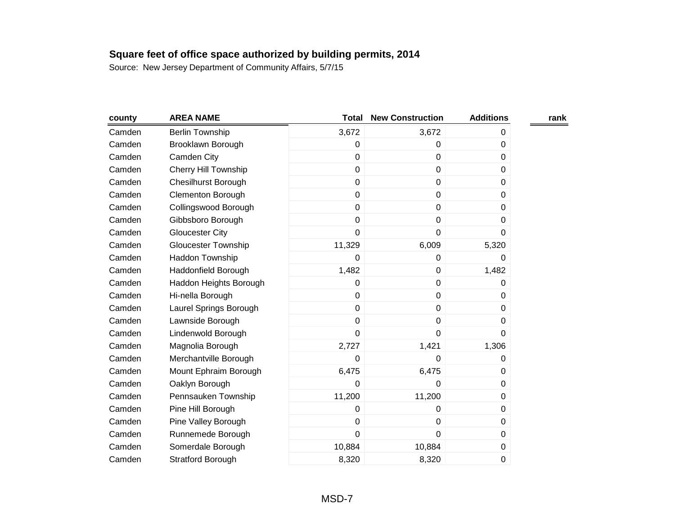| county | <b>AREA NAME</b>            | <b>Total</b> | <b>New Construction</b> | <b>Additions</b> | rank |
|--------|-----------------------------|--------------|-------------------------|------------------|------|
| Camden | <b>Berlin Township</b>      | 3,672        | 3,672                   | 0                |      |
| Camden | Brooklawn Borough           | $\pmb{0}$    | 0                       | 0                |      |
| Camden | Camden City                 | $\mathbf 0$  | $\mathbf 0$             | $\Omega$         |      |
| Camden | <b>Cherry Hill Township</b> | $\mathbf 0$  | $\mathbf 0$             | 0                |      |
| Camden | <b>Chesilhurst Borough</b>  | $\pmb{0}$    | $\mathbf 0$             | 0                |      |
| Camden | Clementon Borough           | $\mathbf 0$  | $\pmb{0}$               | $\Omega$         |      |
| Camden | Collingswood Borough        | $\mathbf 0$  | $\pmb{0}$               | 0                |      |
| Camden | Gibbsboro Borough           | $\mathbf 0$  | $\mathbf 0$             | 0                |      |
| Camden | <b>Gloucester City</b>      | $\mathbf 0$  | 0                       | 0                |      |
| Camden | Gloucester Township         | 11,329       | 6,009                   | 5,320            |      |
| Camden | Haddon Township             | 0            | 0                       | 0                |      |
| Camden | Haddonfield Borough         | 1,482        | $\pmb{0}$               | 1,482            |      |
| Camden | Haddon Heights Borough      | 0            | $\mathbf 0$             | 0                |      |
| Camden | Hi-nella Borough            | $\mathbf 0$  | $\mathbf 0$             | 0                |      |
| Camden | Laurel Springs Borough      | $\mathbf 0$  | $\pmb{0}$               | $\Omega$         |      |
| Camden | Lawnside Borough            | $\mathbf 0$  | $\mathbf 0$             | 0                |      |
| Camden | Lindenwold Borough          | $\mathbf 0$  | $\mathbf 0$             | 0                |      |
| Camden | Magnolia Borough            | 2,727        | 1,421                   | 1,306            |      |
| Camden | Merchantville Borough       | 0            | 0                       | 0                |      |
| Camden | Mount Ephraim Borough       | 6,475        | 6,475                   | 0                |      |
| Camden | Oaklyn Borough              | $\mathbf 0$  | 0                       | 0                |      |
| Camden | Pennsauken Township         | 11,200       | 11,200                  | 0                |      |
| Camden | Pine Hill Borough           | 0            | 0                       | 0                |      |
| Camden | Pine Valley Borough         | $\mathbf 0$  | $\mathbf 0$             | 0                |      |
| Camden | Runnemede Borough           | $\mathbf 0$  | $\mathbf 0$             | 0                |      |
| Camden | Somerdale Borough           | 10,884       | 10,884                  | 0                |      |
| Camden | <b>Stratford Borough</b>    | 8,320        | 8,320                   | 0                |      |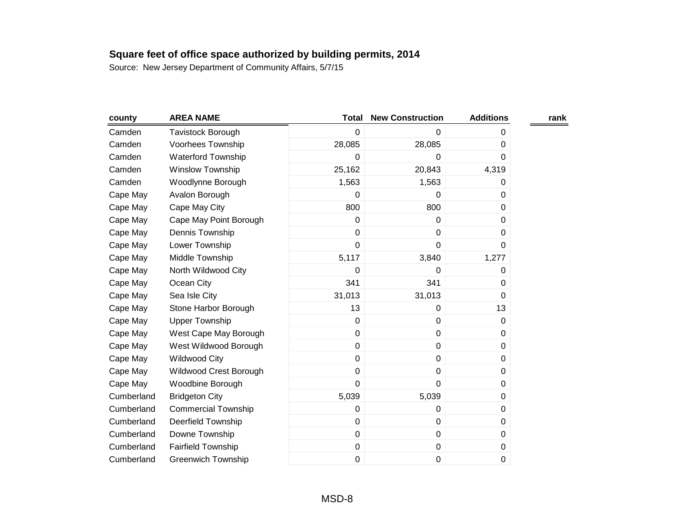| county     | <b>AREA NAME</b>           | <b>Total</b> | <b>New Construction</b> | <b>Additions</b> | rank |
|------------|----------------------------|--------------|-------------------------|------------------|------|
| Camden     | Tavistock Borough          | 0            | 0                       | 0                |      |
| Camden     | Voorhees Township          | 28,085       | 28,085                  | 0                |      |
| Camden     | <b>Waterford Township</b>  | 0            | 0                       | 0                |      |
| Camden     | <b>Winslow Township</b>    | 25,162       | 20,843                  | 4,319            |      |
| Camden     | Woodlynne Borough          | 1,563        | 1,563                   | 0                |      |
| Cape May   | Avalon Borough             | 0            | 0                       | 0                |      |
| Cape May   | Cape May City              | 800          | 800                     | 0                |      |
| Cape May   | Cape May Point Borough     | 0            | $\mathbf 0$             | 0                |      |
| Cape May   | Dennis Township            | 0            | 0                       | 0                |      |
| Cape May   | Lower Township             | 0            | $\mathbf 0$             | 0                |      |
| Cape May   | Middle Township            | 5,117        | 3,840                   | 1,277            |      |
| Cape May   | North Wildwood City        | 0            | 0                       | 0                |      |
| Cape May   | Ocean City                 | 341          | 341                     | 0                |      |
| Cape May   | Sea Isle City              | 31,013       | 31,013                  | 0                |      |
| Cape May   | Stone Harbor Borough       | 13           | 0                       | 13               |      |
| Cape May   | <b>Upper Township</b>      | 0            | $\pmb{0}$               | 0                |      |
| Cape May   | West Cape May Borough      | 0            | $\pmb{0}$               | 0                |      |
| Cape May   | West Wildwood Borough      | 0            | $\pmb{0}$               | 0                |      |
| Cape May   | <b>Wildwood City</b>       | 0            | $\pmb{0}$               | 0                |      |
| Cape May   | Wildwood Crest Borough     | 0            | $\pmb{0}$               | 0                |      |
| Cape May   | Woodbine Borough           | 0            | $\pmb{0}$               | 0                |      |
| Cumberland | <b>Bridgeton City</b>      | 5,039        | 5,039                   | 0                |      |
| Cumberland | <b>Commercial Township</b> | 0            | $\pmb{0}$               | 0                |      |
| Cumberland | <b>Deerfield Township</b>  | 0            | $\pmb{0}$               | 0                |      |
| Cumberland | Downe Township             | 0            | $\pmb{0}$               | 0                |      |
| Cumberland | <b>Fairfield Township</b>  | 0            | $\pmb{0}$               | 0                |      |
| Cumberland | <b>Greenwich Township</b>  | 0            | 0                       | 0                |      |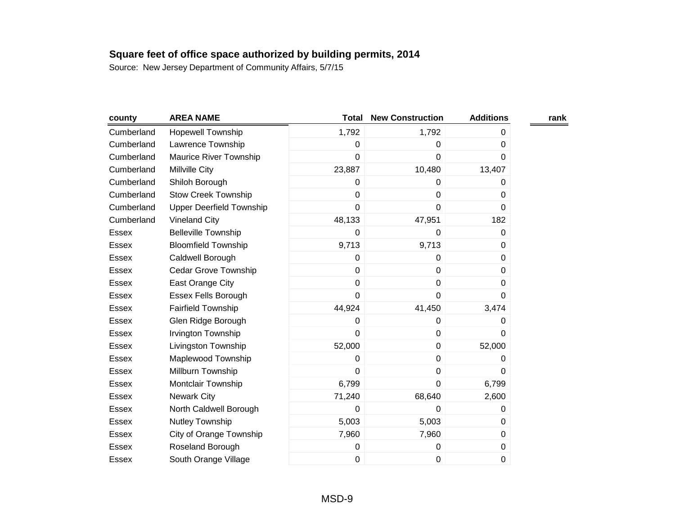| county       | <b>AREA NAME</b>                | <b>Total</b>   | <b>New Construction</b> | <b>Additions</b> | rank |
|--------------|---------------------------------|----------------|-------------------------|------------------|------|
| Cumberland   | <b>Hopewell Township</b>        | 1,792          | 1,792                   | 0                |      |
| Cumberland   | Lawrence Township               | 0              | 0                       | $\Omega$         |      |
| Cumberland   | Maurice River Township          | 0              | 0                       | 0                |      |
| Cumberland   | Millville City                  | 23,887         | 10,480                  | 13,407           |      |
| Cumberland   | Shiloh Borough                  | 0              | 0                       | 0                |      |
| Cumberland   | <b>Stow Creek Township</b>      | 0              | 0                       | 0                |      |
| Cumberland   | <b>Upper Deerfield Township</b> | 0              | $\pmb{0}$               | 0                |      |
| Cumberland   | <b>Vineland City</b>            | 48,133         | 47,951                  | 182              |      |
| Essex        | <b>Belleville Township</b>      | 0              | 0                       | 0                |      |
| Essex        | <b>Bloomfield Township</b>      | 9,713          | 9,713                   | 0                |      |
| Essex        | Caldwell Borough                | 0              | $\mathbf 0$             | 0                |      |
| Essex        | Cedar Grove Township            | 0              | $\mathbf 0$             | 0                |      |
| Essex        | East Orange City                | 0              | $\pmb{0}$               | 0                |      |
| Essex        | Essex Fells Borough             | 0              | $\mathbf 0$             | 0                |      |
| <b>Essex</b> | <b>Fairfield Township</b>       | 44,924         | 41,450                  | 3,474            |      |
| Essex        | Glen Ridge Borough              | 0              | 0                       | 0                |      |
| <b>Essex</b> | Irvington Township              | $\overline{0}$ | $\pmb{0}$               | 0                |      |
| Essex        | Livingston Township             | 52,000         | $\mathbf 0$             | 52,000           |      |
| Essex        | Maplewood Township              | 0              | 0                       | 0                |      |
| Essex        | Millburn Township               | 0              | $\pmb{0}$               | 0                |      |
| Essex        | Montclair Township              | 6,799          | $\mathbf 0$             | 6,799            |      |
| <b>Essex</b> | <b>Newark City</b>              | 71,240         | 68,640                  | 2,600            |      |
| Essex        | North Caldwell Borough          | 0              | 0                       | 0                |      |
| Essex        | Nutley Township                 | 5,003          | 5,003                   | 0                |      |
| Essex        | City of Orange Township         | 7,960          | 7,960                   | 0                |      |
| Essex        | Roseland Borough                | 0              | 0                       | 0                |      |
| Essex        | South Orange Village            | 0              | 0                       | 0                |      |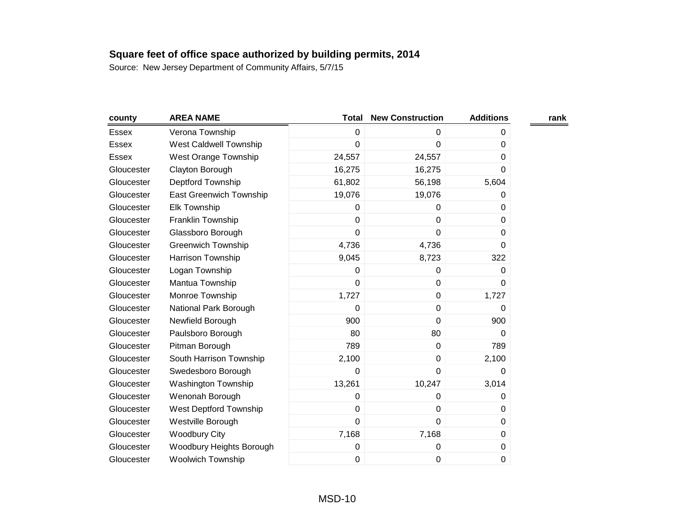| county       | <b>AREA NAME</b>              | Total          | <b>New Construction</b> | <b>Additions</b> | rank |
|--------------|-------------------------------|----------------|-------------------------|------------------|------|
| <b>Essex</b> | Verona Township               | 0              | 0                       | 0                |      |
| <b>Essex</b> | <b>West Caldwell Township</b> | 0              | $\mathbf 0$             | $\Omega$         |      |
| <b>Essex</b> | <b>West Orange Township</b>   | 24,557         | 24,557                  | 0                |      |
| Gloucester   | Clayton Borough               | 16,275         | 16,275                  | 0                |      |
| Gloucester   | Deptford Township             | 61,802         | 56,198                  | 5,604            |      |
| Gloucester   | East Greenwich Township       | 19,076         | 19,076                  | 0                |      |
| Gloucester   | Elk Township                  | 0              | 0                       | 0                |      |
| Gloucester   | Franklin Township             | 0              | $\mathbf 0$             | 0                |      |
| Gloucester   | Glassboro Borough             | $\overline{0}$ | $\mathbf 0$             | $\Omega$         |      |
| Gloucester   | <b>Greenwich Township</b>     | 4,736          | 4,736                   | $\mathbf 0$      |      |
| Gloucester   | Harrison Township             | 9,045          | 8,723                   | 322              |      |
| Gloucester   | Logan Township                | 0              | 0                       | 0                |      |
| Gloucester   | Mantua Township               | 0              | $\mathbf 0$             | $\Omega$         |      |
| Gloucester   | Monroe Township               | 1,727          | 0                       | 1,727            |      |
| Gloucester   | National Park Borough         | 0              | $\pmb{0}$               | $\Omega$         |      |
| Gloucester   | Newfield Borough              | 900            | $\mathbf 0$             | 900              |      |
| Gloucester   | Paulsboro Borough             | 80             | 80                      | 0                |      |
| Gloucester   | Pitman Borough                | 789            | $\mathbf 0$             | 789              |      |
| Gloucester   | South Harrison Township       | 2,100          | $\pmb{0}$               | 2,100            |      |
| Gloucester   | Swedesboro Borough            | 0              | $\mathbf 0$             | $\Omega$         |      |
| Gloucester   | <b>Washington Township</b>    | 13,261         | 10,247                  | 3,014            |      |
| Gloucester   | Wenonah Borough               | 0              | 0                       | 0                |      |
| Gloucester   | West Deptford Township        | 0              | $\mathbf 0$             | 0                |      |
| Gloucester   | Westville Borough             | 0              | $\mathbf 0$             | 0                |      |
| Gloucester   | <b>Woodbury City</b>          | 7,168          | 7,168                   | 0                |      |
| Gloucester   | Woodbury Heights Borough      | 0              | 0                       | 0                |      |
| Gloucester   | <b>Woolwich Township</b>      | 0              | 0                       | 0                |      |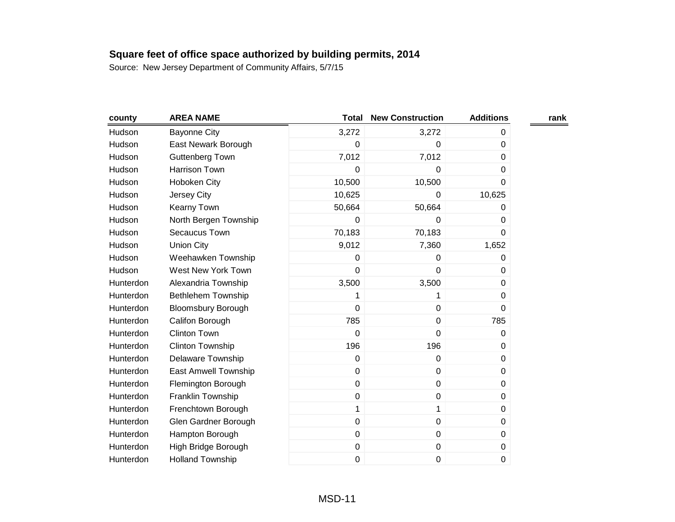| county    | <b>AREA NAME</b>          | <b>Total</b> | <b>New Construction</b> | <b>Additions</b> | rank |
|-----------|---------------------------|--------------|-------------------------|------------------|------|
| Hudson    | <b>Bayonne City</b>       | 3,272        | 3,272                   | 0                |      |
| Hudson    | East Newark Borough       | 0            | 0                       | 0                |      |
| Hudson    | <b>Guttenberg Town</b>    | 7,012        | 7,012                   | 0                |      |
| Hudson    | Harrison Town             | 0            | 0                       | 0                |      |
| Hudson    | Hoboken City              | 10,500       | 10,500                  | 0                |      |
| Hudson    | Jersey City               | 10,625       | $\Omega$                | 10,625           |      |
| Hudson    | Kearny Town               | 50,664       | 50,664                  | 0                |      |
| Hudson    | North Bergen Township     | 0            | 0                       | 0                |      |
| Hudson    | Secaucus Town             | 70,183       | 70,183                  | 0                |      |
| Hudson    | <b>Union City</b>         | 9,012        | 7,360                   | 1,652            |      |
| Hudson    | Weehawken Township        | 0            | $\mathbf 0$             | 0                |      |
| Hudson    | West New York Town        | 0            | 0                       | 0                |      |
| Hunterdon | Alexandria Township       | 3,500        | 3,500                   | 0                |      |
| Hunterdon | Bethlehem Township        | 1            | 1                       | 0                |      |
| Hunterdon | <b>Bloomsbury Borough</b> | 0            | $\pmb{0}$               | 0                |      |
| Hunterdon | Califon Borough           | 785          | $\pmb{0}$               | 785              |      |
| Hunterdon | <b>Clinton Town</b>       | 0            | $\mathbf 0$             | 0                |      |
| Hunterdon | Clinton Township          | 196          | 196                     | 0                |      |
| Hunterdon | Delaware Township         | 0            | $\pmb{0}$               | 0                |      |
| Hunterdon | East Amwell Township      | 0            | $\mathbf 0$             | 0                |      |
| Hunterdon | Flemington Borough        | 0            | $\pmb{0}$               | 0                |      |
| Hunterdon | Franklin Township         | 0            | $\pmb{0}$               | 0                |      |
| Hunterdon | Frenchtown Borough        | $\mathbf 1$  | 1                       | 0                |      |
| Hunterdon | Glen Gardner Borough      | 0            | $\pmb{0}$               | 0                |      |
| Hunterdon | Hampton Borough           | 0            | $\pmb{0}$               | 0                |      |
| Hunterdon | High Bridge Borough       | 0            | $\pmb{0}$               | 0                |      |
| Hunterdon | <b>Holland Township</b>   | 0            | $\pmb{0}$               | 0                |      |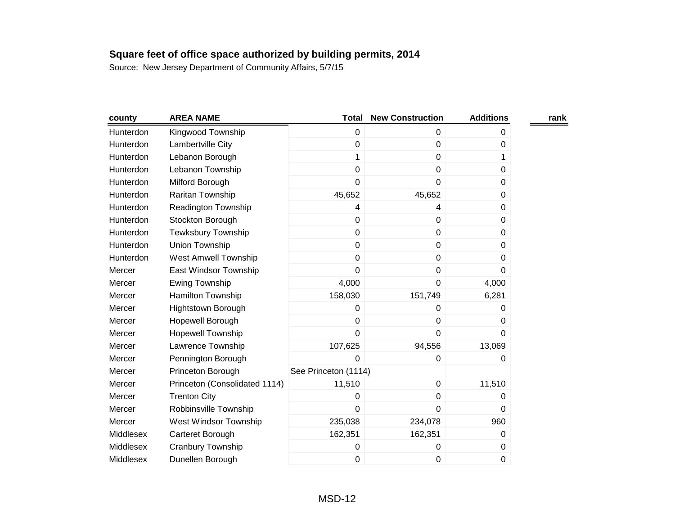| county    | <b>AREA NAME</b>              | <b>Total</b>         | <b>New Construction</b> | <b>Additions</b> | rank |
|-----------|-------------------------------|----------------------|-------------------------|------------------|------|
| Hunterdon | Kingwood Township             | 0                    | $\mathbf 0$             | 0                |      |
| Hunterdon | Lambertville City             | 0                    | 0                       | 0                |      |
| Hunterdon | Lebanon Borough               | 1                    | $\mathbf 0$             | 1                |      |
| Hunterdon | Lebanon Township              | 0                    | $\pmb{0}$               | 0                |      |
| Hunterdon | Milford Borough               | 0                    | $\mathbf 0$             | 0                |      |
| Hunterdon | Raritan Township              | 45,652               | 45,652                  | 0                |      |
| Hunterdon | Readington Township           | 4                    | 4                       | 0                |      |
| Hunterdon | Stockton Borough              | 0                    | $\mathbf 0$             | $\Omega$         |      |
| Hunterdon | Tewksbury Township            | 0                    | $\pmb{0}$               | 0                |      |
| Hunterdon | Union Township                | 0                    | $\pmb{0}$               | 0                |      |
| Hunterdon | <b>West Amwell Township</b>   | 0                    | 0                       | 0                |      |
| Mercer    | East Windsor Township         | $\mathbf 0$          | $\pmb{0}$               | 0                |      |
| Mercer    | Ewing Township                | 4,000                | $\mathbf 0$             | 4,000            |      |
| Mercer    | Hamilton Township             | 158,030              | 151,749                 | 6,281            |      |
| Mercer    | <b>Hightstown Borough</b>     | 0                    | 0                       | 0                |      |
| Mercer    | Hopewell Borough              | 0                    | $\pmb{0}$               | 0                |      |
| Mercer    | <b>Hopewell Township</b>      | $\overline{0}$       | $\mathbf 0$             | 0                |      |
| Mercer    | Lawrence Township             | 107,625              | 94,556                  | 13,069           |      |
| Mercer    | Pennington Borough            | 0                    | 0                       | 0                |      |
| Mercer    | Princeton Borough             | See Princeton (1114) |                         |                  |      |
| Mercer    | Princeton (Consolidated 1114) | 11,510               | $\pmb{0}$               | 11,510           |      |
| Mercer    | <b>Trenton City</b>           | 0                    | $\mathbf 0$             | 0                |      |
| Mercer    | Robbinsville Township         | 0                    | $\mathbf 0$             | 0                |      |
| Mercer    | West Windsor Township         | 235,038              | 234,078                 | 960              |      |
| Middlesex | Carteret Borough              | 162,351              | 162,351                 | 0                |      |
| Middlesex | Cranbury Township             | 0                    | 0                       | 0                |      |
| Middlesex | Dunellen Borough              | 0                    | 0                       | 0                |      |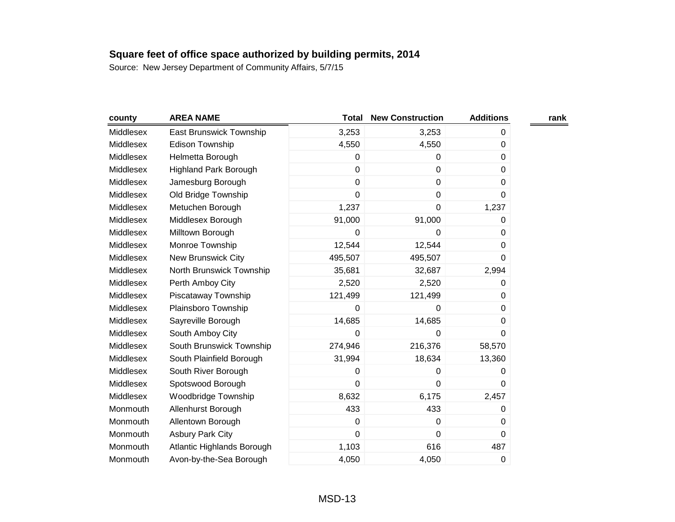| county    | <b>AREA NAME</b>             | <b>Total</b> | <b>New Construction</b> | <b>Additions</b> | rank |
|-----------|------------------------------|--------------|-------------------------|------------------|------|
| Middlesex | East Brunswick Township      | 3,253        | 3,253                   | 0                |      |
| Middlesex | <b>Edison Township</b>       | 4,550        | 4,550                   | 0                |      |
| Middlesex | Helmetta Borough             | 0            | 0                       | 0                |      |
| Middlesex | <b>Highland Park Borough</b> | $\mathbf 0$  | $\mathbf 0$             | 0                |      |
| Middlesex | Jamesburg Borough            | $\mathbf 0$  | $\mathbf 0$             | $\Omega$         |      |
| Middlesex | Old Bridge Township          | $\mathbf 0$  | 0                       | 0                |      |
| Middlesex | Metuchen Borough             | 1,237        | $\mathbf 0$             | 1,237            |      |
| Middlesex | Middlesex Borough            | 91,000       | 91,000                  | 0                |      |
| Middlesex | Milltown Borough             | 0            | 0                       | 0                |      |
| Middlesex | Monroe Township              | 12,544       | 12,544                  | 0                |      |
| Middlesex | New Brunswick City           | 495,507      | 495,507                 | $\Omega$         |      |
| Middlesex | North Brunswick Township     | 35,681       | 32,687                  | 2,994            |      |
| Middlesex | Perth Amboy City             | 2,520        | 2,520                   | 0                |      |
| Middlesex | Piscataway Township          | 121,499      | 121,499                 | $\Omega$         |      |
| Middlesex | Plainsboro Township          | 0            | 0                       | $\Omega$         |      |
| Middlesex | Sayreville Borough           | 14,685       | 14,685                  | 0                |      |
| Middlesex | South Amboy City             | 0            | $\mathbf 0$             | 0                |      |
| Middlesex | South Brunswick Township     | 274,946      | 216,376                 | 58,570           |      |
| Middlesex | South Plainfield Borough     | 31,994       | 18,634                  | 13,360           |      |
| Middlesex | South River Borough          | $\mathbf 0$  | 0                       | 0                |      |
| Middlesex | Spotswood Borough            | $\mathbf 0$  | $\mathbf 0$             | $\Omega$         |      |
| Middlesex | Woodbridge Township          | 8,632        | 6,175                   | 2,457            |      |
| Monmouth  | Allenhurst Borough           | 433          | 433                     | 0                |      |
| Monmouth  | Allentown Borough            | $\mathbf 0$  | 0                       | 0                |      |
| Monmouth  | <b>Asbury Park City</b>      | $\mathbf 0$  | 0                       | 0                |      |
| Monmouth  | Atlantic Highlands Borough   | 1,103        | 616                     | 487              |      |
| Monmouth  | Avon-by-the-Sea Borough      | 4,050        | 4,050                   | 0                |      |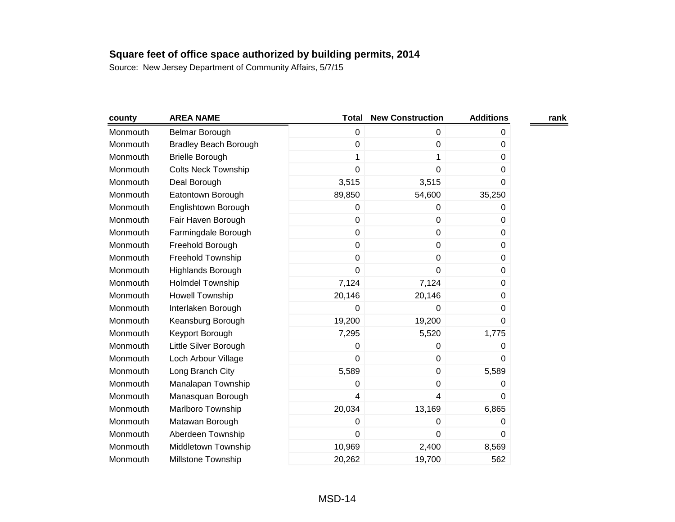| county   | <b>AREA NAME</b>             | <b>Total</b> | <b>New Construction</b> | <b>Additions</b> | rank |
|----------|------------------------------|--------------|-------------------------|------------------|------|
| Monmouth | Belmar Borough               | $\mathbf 0$  | 0                       | 0                |      |
| Monmouth | <b>Bradley Beach Borough</b> | $\mathbf 0$  | 0                       | 0                |      |
| Monmouth | <b>Brielle Borough</b>       | 1            | 1                       | 0                |      |
| Monmouth | <b>Colts Neck Township</b>   | $\mathbf 0$  | 0                       | 0                |      |
| Monmouth | Deal Borough                 | 3,515        | 3,515                   | 0                |      |
| Monmouth | Eatontown Borough            | 89,850       | 54,600                  | 35,250           |      |
| Monmouth | Englishtown Borough          | 0            | 0                       | 0                |      |
| Monmouth | Fair Haven Borough           | $\mathbf 0$  | 0                       | 0                |      |
| Monmouth | Farmingdale Borough          | $\pmb{0}$    | $\boldsymbol{0}$        | 0                |      |
| Monmouth | Freehold Borough             | $\mathbf 0$  | 0                       | 0                |      |
| Monmouth | Freehold Township            | $\mathbf 0$  | 0                       | 0                |      |
| Monmouth | Highlands Borough            | $\mathbf 0$  | 0                       | 0                |      |
| Monmouth | <b>Holmdel Township</b>      | 7,124        | 7,124                   | 0                |      |
| Monmouth | <b>Howell Township</b>       | 20,146       | 20,146                  | 0                |      |
| Monmouth | Interlaken Borough           | $\mathbf 0$  | 0                       | 0                |      |
| Monmouth | Keansburg Borough            | 19,200       | 19,200                  | 0                |      |
| Monmouth | Keyport Borough              | 7,295        | 5,520                   | 1,775            |      |
| Monmouth | Little Silver Borough        | $\mathbf 0$  | 0                       | 0                |      |
| Monmouth | Loch Arbour Village          | $\mathbf 0$  | $\boldsymbol{0}$        | 0                |      |
| Monmouth | Long Branch City             | 5,589        | $\mathbf 0$             | 5,589            |      |
| Monmouth | Manalapan Township           | 0            | 0                       | 0                |      |
| Monmouth | Manasquan Borough            | 4            | 4                       | 0                |      |
| Monmouth | Marlboro Township            | 20,034       | 13,169                  | 6,865            |      |
| Monmouth | Matawan Borough              | 0            | 0                       | 0                |      |
| Monmouth | Aberdeen Township            | $\mathbf 0$  | 0                       | 0                |      |
| Monmouth | Middletown Township          | 10,969       | 2,400                   | 8,569            |      |
| Monmouth | <b>Millstone Township</b>    | 20,262       | 19,700                  | 562              |      |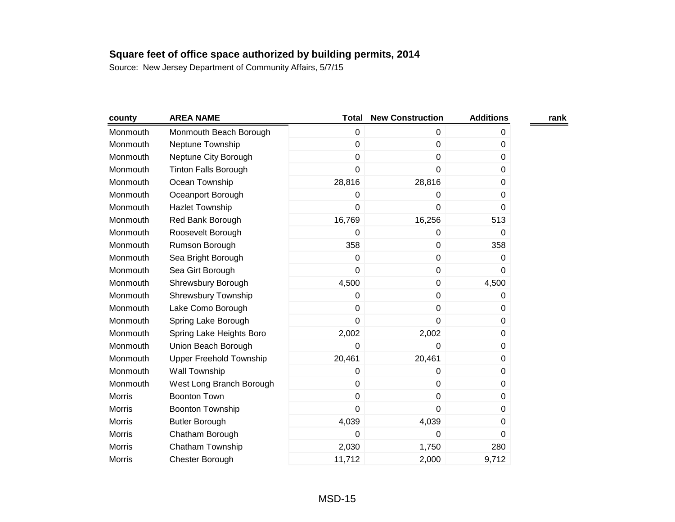| county        | <b>AREA NAME</b>               | <b>Total</b> | <b>New Construction</b> | <b>Additions</b> | rank |
|---------------|--------------------------------|--------------|-------------------------|------------------|------|
| Monmouth      | Monmouth Beach Borough         | $\mathbf 0$  | 0                       | 0                |      |
| Monmouth      | Neptune Township               | $\pmb{0}$    | 0                       | 0                |      |
| Monmouth      | Neptune City Borough           | $\mathbf 0$  | 0                       | 0                |      |
| Monmouth      | <b>Tinton Falls Borough</b>    | $\mathbf 0$  | 0                       | 0                |      |
| Monmouth      | Ocean Township                 | 28,816       | 28,816                  | 0                |      |
| Monmouth      | Oceanport Borough              | 0            | 0                       | 0                |      |
| Monmouth      | <b>Hazlet Township</b>         | 0            | 0                       | 0                |      |
| Monmouth      | Red Bank Borough               | 16,769       | 16,256                  | 513              |      |
| Monmouth      | Roosevelt Borough              | 0            | 0                       | 0                |      |
| Monmouth      | Rumson Borough                 | 358          | $\pmb{0}$               | 358              |      |
| Monmouth      | Sea Bright Borough             | $\mathbf 0$  | 0                       | 0                |      |
| Monmouth      | Sea Girt Borough               | $\mathbf 0$  | $\mathbf 0$             | 0                |      |
| Monmouth      | Shrewsbury Borough             | 4,500        | $\pmb{0}$               | 4,500            |      |
| Monmouth      | <b>Shrewsbury Township</b>     | $\mathbf 0$  | 0                       | 0                |      |
| Monmouth      | Lake Como Borough              | $\pmb{0}$    | $\pmb{0}$               | 0                |      |
| Monmouth      | Spring Lake Borough            | 0            | 0                       | 0                |      |
| Monmouth      | Spring Lake Heights Boro       | 2,002        | 2,002                   | 0                |      |
| Monmouth      | Union Beach Borough            | 0            | 0                       | 0                |      |
| Monmouth      | <b>Upper Freehold Township</b> | 20,461       | 20,461                  | 0                |      |
| Monmouth      | <b>Wall Township</b>           | $\mathbf 0$  | 0                       | 0                |      |
| Monmouth      | West Long Branch Borough       | $\mathbf 0$  | 0                       | 0                |      |
| <b>Morris</b> | <b>Boonton Town</b>            | $\mathbf 0$  | 0                       | 0                |      |
| <b>Morris</b> | <b>Boonton Township</b>        | $\mathbf 0$  | 0                       | 0                |      |
| <b>Morris</b> | <b>Butler Borough</b>          | 4,039        | 4,039                   | 0                |      |
| <b>Morris</b> | Chatham Borough                | 0            | 0                       | 0                |      |
| <b>Morris</b> | Chatham Township               | 2,030        | 1,750                   | 280              |      |
| <b>Morris</b> | Chester Borough                | 11,712       | 2,000                   | 9,712            |      |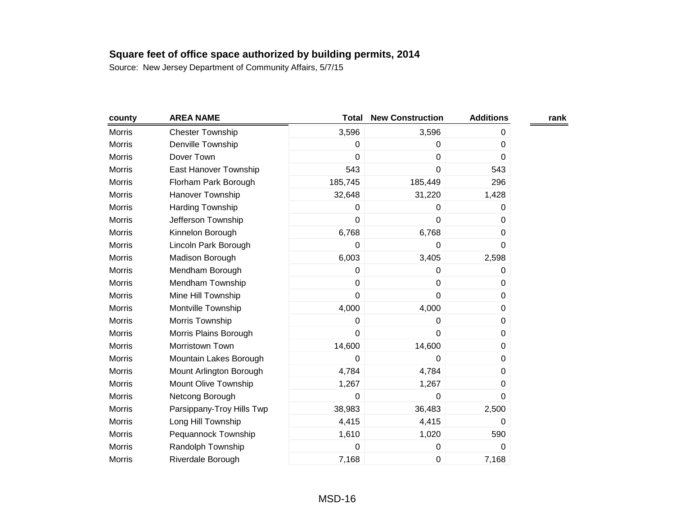|                           | <b>Total</b>   | <b>New Construction</b> | <b>Additions</b> | rank |
|---------------------------|----------------|-------------------------|------------------|------|
| <b>Chester Township</b>   | 3,596          | 3,596                   | 0                |      |
| Denville Township         | 0              | 0                       | 0                |      |
| Dover Town                | $\overline{0}$ | 0                       | 0                |      |
| East Hanover Township     | 543            | $\mathbf 0$             | 543              |      |
| Florham Park Borough      | 185,745        | 185,449                 | 296              |      |
| Hanover Township          | 32,648         | 31,220                  | 1,428            |      |
| <b>Harding Township</b>   | 0              | 0                       | 0                |      |
| Jefferson Township        | $\overline{0}$ | $\mathbf 0$             | $\Omega$         |      |
| Kinnelon Borough          | 6,768          | 6,768                   | 0                |      |
| Lincoln Park Borough      | 0              | 0                       | $\mathbf 0$      |      |
| Madison Borough           | 6,003          | 3,405                   | 2,598            |      |
| Mendham Borough           | 0              | 0                       | 0                |      |
| Mendham Township          | 0              | $\pmb{0}$               | 0                |      |
| Mine Hill Township        | $\overline{0}$ | $\mathbf 0$             | 0                |      |
| Montville Township        | 4,000          | 4,000                   | 0                |      |
| Morris Township           | 0              | 0                       | 0                |      |
| Morris Plains Borough     | $\overline{0}$ | $\mathbf 0$             | 0                |      |
| Morristown Town           | 14,600         | 14,600                  | 0                |      |
| Mountain Lakes Borough    | 0              | 0                       | 0                |      |
| Mount Arlington Borough   | 4,784          | 4,784                   | 0                |      |
| Mount Olive Township      | 1,267          | 1,267                   | 0                |      |
| Netcong Borough           | 0              | 0                       | 0                |      |
| Parsippany-Troy Hills Twp | 38,983         | 36,483                  | 2,500            |      |
| Long Hill Township        | 4,415          | 4,415                   | 0                |      |
| Pequannock Township       | 1,610          | 1,020                   | 590              |      |
| Randolph Township         | 0              | $\pmb{0}$               | 0                |      |
| Riverdale Borough         | 7,168          | $\pmb{0}$               | 7,168            |      |
|                           |                |                         |                  |      |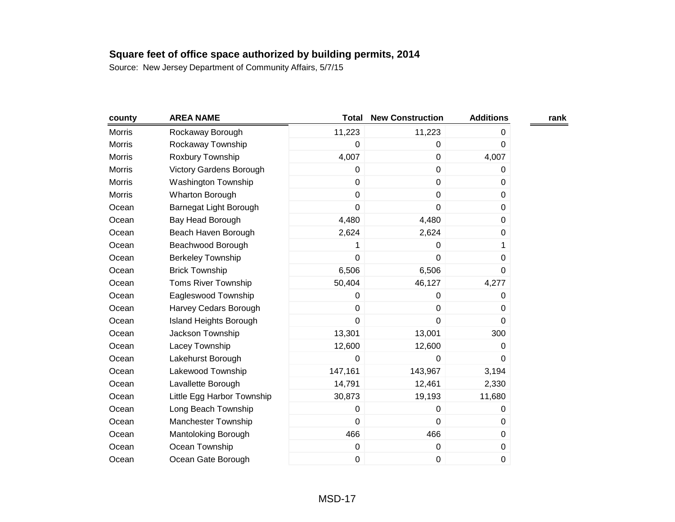| county        | <b>AREA NAME</b>           | <b>Total</b> | <b>New Construction</b> | <b>Additions</b> | rank |
|---------------|----------------------------|--------------|-------------------------|------------------|------|
| Morris        | Rockaway Borough           | 11,223       | 11,223                  | 0                |      |
| <b>Morris</b> | Rockaway Township          | $\mathbf 0$  | $\mathbf 0$             | 0                |      |
| <b>Morris</b> | Roxbury Township           | 4,007        | $\pmb{0}$               | 4,007            |      |
| Morris        | Victory Gardens Borough    | 0            | $\pmb{0}$               | 0                |      |
| <b>Morris</b> | <b>Washington Township</b> | $\mathbf 0$  | $\pmb{0}$               | 0                |      |
| <b>Morris</b> | Wharton Borough            | $\mathbf 0$  | $\boldsymbol{0}$        | 0                |      |
| Ocean         | Barnegat Light Borough     | $\mathbf 0$  | $\mathbf 0$             | 0                |      |
| Ocean         | Bay Head Borough           | 4,480        | 4,480                   | 0                |      |
| Ocean         | Beach Haven Borough        | 2,624        | 2,624                   | 0                |      |
| Ocean         | Beachwood Borough          |              | 0                       | 1                |      |
| Ocean         | <b>Berkeley Township</b>   | $\mathbf 0$  | $\mathbf 0$             | 0                |      |
| Ocean         | <b>Brick Township</b>      | 6,506        | 6,506                   | 0                |      |
| Ocean         | <b>Toms River Township</b> | 50,404       | 46,127                  | 4,277            |      |
| Ocean         | Eagleswood Township        | $\mathbf 0$  | $\mathbf 0$             | 0                |      |
| Ocean         | Harvey Cedars Borough      | $\mathbf 0$  | $\pmb{0}$               | 0                |      |
| Ocean         | Island Heights Borough     | 0            | 0                       | 0                |      |
| Ocean         | Jackson Township           | 13,301       | 13,001                  | 300              |      |
| Ocean         | Lacey Township             | 12,600       | 12,600                  | 0                |      |
| Ocean         | Lakehurst Borough          | 0            | 0                       | 0                |      |
| Ocean         | Lakewood Township          | 147,161      | 143,967                 | 3,194            |      |
| Ocean         | Lavallette Borough         | 14,791       | 12,461                  | 2,330            |      |
| Ocean         | Little Egg Harbor Township | 30,873       | 19,193                  | 11,680           |      |
| Ocean         | Long Beach Township        | 0            | 0                       | 0                |      |
| Ocean         | Manchester Township        | $\mathbf 0$  | $\mathbf 0$             | 0                |      |
| Ocean         | Mantoloking Borough        | 466          | 466                     | 0                |      |
| Ocean         | Ocean Township             | 0            | $\pmb{0}$               | 0                |      |
| Ocean         | Ocean Gate Borough         | $\mathbf 0$  | 0                       | 0                |      |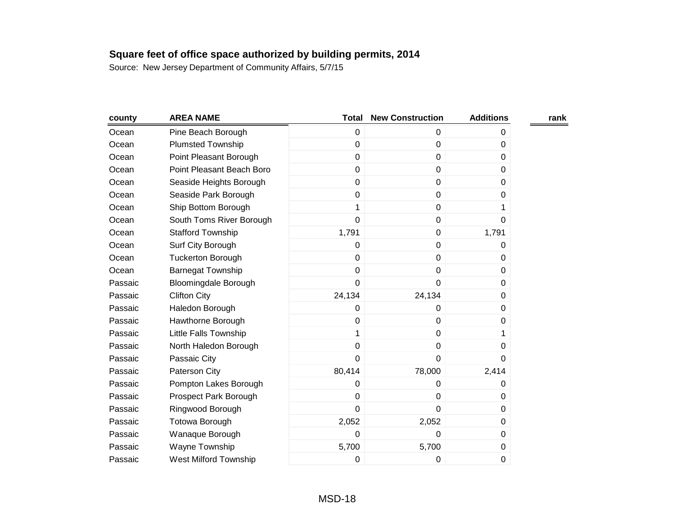| county  | <b>AREA NAME</b>             | <b>Total</b>   | <b>New Construction</b> | <b>Additions</b> | rank |
|---------|------------------------------|----------------|-------------------------|------------------|------|
| Ocean   | Pine Beach Borough           | $\mathbf 0$    | 0                       | 0                |      |
| Ocean   | <b>Plumsted Township</b>     | $\mathbf 0$    | $\mathbf 0$             | 0                |      |
| Ocean   | Point Pleasant Borough       | $\mathbf 0$    | $\pmb{0}$               | 0                |      |
| Ocean   | Point Pleasant Beach Boro    | $\mathbf 0$    | $\pmb{0}$               | 0                |      |
| Ocean   | Seaside Heights Borough      | $\mathbf 0$    | $\mathbf 0$             | $\Omega$         |      |
| Ocean   | Seaside Park Borough         | $\mathbf 0$    | $\mathbf 0$             | 0                |      |
| Ocean   | Ship Bottom Borough          | 1              | $\pmb{0}$               | 1                |      |
| Ocean   | South Toms River Borough     | $\mathbf 0$    | 0                       | 0                |      |
| Ocean   | <b>Stafford Township</b>     | 1,791          | $\pmb{0}$               | 1,791            |      |
| Ocean   | Surf City Borough            | $\mathbf 0$    | $\mathbf 0$             | 0                |      |
| Ocean   | <b>Tuckerton Borough</b>     | $\mathbf 0$    | $\mathbf 0$             | 0                |      |
| Ocean   | <b>Barnegat Township</b>     | $\mathbf 0$    | $\pmb{0}$               | $\Omega$         |      |
| Passaic | <b>Bloomingdale Borough</b>  | $\overline{0}$ | 0                       | $\Omega$         |      |
| Passaic | <b>Clifton City</b>          | 24,134         | 24,134                  | 0                |      |
| Passaic | Haledon Borough              | 0              | 0                       | 0                |      |
| Passaic | Hawthorne Borough            | $\mathbf 0$    | $\mathbf 0$             | 0                |      |
| Passaic | Little Falls Township        | 1              | $\mathbf 0$             | 1                |      |
| Passaic | North Haledon Borough        | $\mathbf 0$    | 0                       | 0                |      |
| Passaic | Passaic City                 | $\mathbf 0$    | 0                       | 0                |      |
| Passaic | Paterson City                | 80,414         | 78,000                  | 2,414            |      |
| Passaic | Pompton Lakes Borough        | $\mathbf 0$    | $\mathbf 0$             | 0                |      |
| Passaic | Prospect Park Borough        | $\mathbf 0$    | $\boldsymbol{0}$        | 0                |      |
| Passaic | Ringwood Borough             | $\mathbf 0$    | 0                       | 0                |      |
| Passaic | <b>Totowa Borough</b>        | 2,052          | 2,052                   | 0                |      |
| Passaic | Wanaque Borough              | 0              | 0                       | 0                |      |
| Passaic | Wayne Township               | 5,700          | 5,700                   | 0                |      |
| Passaic | <b>West Milford Township</b> | 0              | 0                       | 0                |      |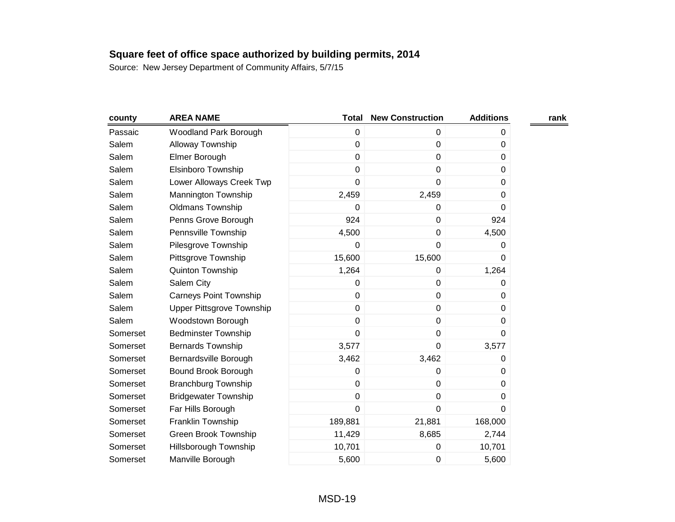| county   | <b>AREA NAME</b>              | <b>Total</b>   | <b>New Construction</b> | <b>Additions</b> | rank |
|----------|-------------------------------|----------------|-------------------------|------------------|------|
| Passaic  | Woodland Park Borough         | $\mathbf 0$    | $\mathbf 0$             | 0                |      |
| Salem    | Alloway Township              | 0              | $\boldsymbol{0}$        | 0                |      |
| Salem    | Elmer Borough                 | 0              | $\mathbf 0$             | 0                |      |
| Salem    | Elsinboro Township            | 0              | $\pmb{0}$               | $\mathbf 0$      |      |
| Salem    | Lower Alloways Creek Twp      | 0              | $\mathbf 0$             | $\Omega$         |      |
| Salem    | Mannington Township           | 2,459          | 2,459                   | 0                |      |
| Salem    | <b>Oldmans Township</b>       | 0              | $\boldsymbol{0}$        | 0                |      |
| Salem    | Penns Grove Borough           | 924            | $\mathbf 0$             | 924              |      |
| Salem    | Pennsville Township           | 4,500          | $\mathbf 0$             | 4,500            |      |
| Salem    | Pilesgrove Township           | 0              | $\mathbf 0$             | 0                |      |
| Salem    | Pittsgrove Township           | 15,600         | 15,600                  | 0                |      |
| Salem    | Quinton Township              | 1,264          | 0                       | 1,264            |      |
| Salem    | Salem City                    | 0              | $\mathbf 0$             | 0                |      |
| Salem    | <b>Carneys Point Township</b> | 0              | 0                       | 0                |      |
| Salem    | Upper Pittsgrove Township     | $\overline{0}$ | $\boldsymbol{0}$        | 0                |      |
| Salem    | Woodstown Borough             | $\mathbf 0$    | $\pmb{0}$               | 0                |      |
| Somerset | <b>Bedminster Township</b>    | 0              | $\mathbf 0$             | $\Omega$         |      |
| Somerset | <b>Bernards Township</b>      | 3,577          | $\mathbf 0$             | 3,577            |      |
| Somerset | Bernardsville Borough         | 3,462          | 3,462                   | 0                |      |
| Somerset | Bound Brook Borough           | 0              | $\boldsymbol{0}$        | 0                |      |
| Somerset | <b>Branchburg Township</b>    | 0              | $\boldsymbol{0}$        | $\Omega$         |      |
| Somerset | <b>Bridgewater Township</b>   | $\mathbf 0$    | $\boldsymbol{0}$        | 0                |      |
| Somerset | Far Hills Borough             | $\overline{0}$ | $\mathbf 0$             | $\Omega$         |      |
| Somerset | Franklin Township             | 189,881        | 21,881                  | 168,000          |      |
| Somerset | Green Brook Township          | 11,429         | 8,685                   | 2,744            |      |
| Somerset | Hillsborough Township         | 10,701         | $\boldsymbol{0}$        | 10,701           |      |
| Somerset | Manville Borough              | 5,600          | $\mathbf 0$             | 5,600            |      |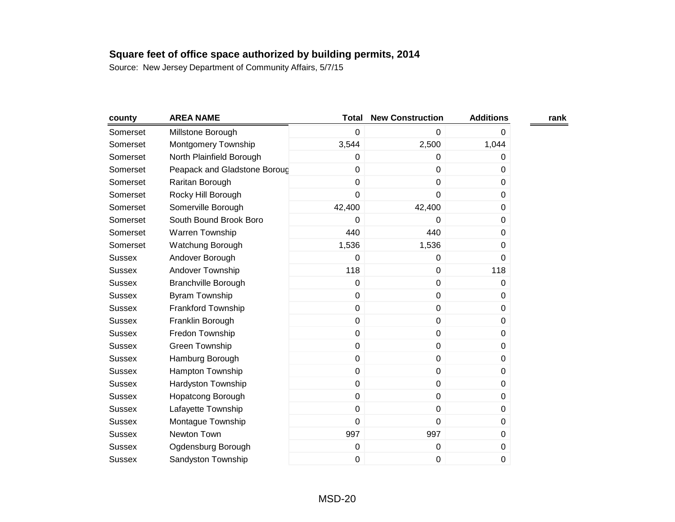| county        | <b>AREA NAME</b>             | <b>Total</b> | <b>New Construction</b> | <b>Additions</b> | rank |
|---------------|------------------------------|--------------|-------------------------|------------------|------|
| Somerset      | Millstone Borough            | $\mathbf 0$  | $\mathbf 0$             | $\boldsymbol{0}$ |      |
| Somerset      | Montgomery Township          | 3,544        | 2,500                   | 1,044            |      |
| Somerset      | North Plainfield Borough     | 0            | 0                       | 0                |      |
| Somerset      | Peapack and Gladstone Boroug | $\mathbf 0$  | $\mathbf 0$             | 0                |      |
| Somerset      | Raritan Borough              | $\mathbf 0$  | $\pmb{0}$               | 0                |      |
| Somerset      | Rocky Hill Borough           | $\mathbf 0$  | 0                       | 0                |      |
| Somerset      | Somerville Borough           | 42,400       | 42,400                  | $\boldsymbol{0}$ |      |
| Somerset      | South Bound Brook Boro       | 0            | 0                       | 0                |      |
| Somerset      | Warren Township              | 440          | 440                     | $\Omega$         |      |
| Somerset      | Watchung Borough             | 1,536        | 1,536                   | $\boldsymbol{0}$ |      |
| <b>Sussex</b> | Andover Borough              | 0            | $\mathbf 0$             | $\Omega$         |      |
| <b>Sussex</b> | Andover Township             | 118          | $\pmb{0}$               | 118              |      |
| <b>Sussex</b> | <b>Branchville Borough</b>   | $\mathbf 0$  | $\pmb{0}$               | $\mathbf 0$      |      |
| <b>Sussex</b> | Byram Township               | $\mathbf 0$  | $\pmb{0}$               | $\Omega$         |      |
| <b>Sussex</b> | Frankford Township           | $\pmb{0}$    | $\pmb{0}$               | 0                |      |
| <b>Sussex</b> | Franklin Borough             | $\pmb{0}$    | $\pmb{0}$               | 0                |      |
| <b>Sussex</b> | Fredon Township              | $\mathbf 0$  | $\pmb{0}$               | 0                |      |
| <b>Sussex</b> | <b>Green Township</b>        | $\mathbf 0$  | $\pmb{0}$               | 0                |      |
| <b>Sussex</b> | Hamburg Borough              | $\pmb{0}$    | $\pmb{0}$               | 0                |      |
| <b>Sussex</b> | Hampton Township             | $\mathbf 0$  | $\mathbf 0$             | 0                |      |
| Sussex        | Hardyston Township           | $\mathbf 0$  | $\pmb{0}$               | 0                |      |
| <b>Sussex</b> | <b>Hopatcong Borough</b>     | $\pmb{0}$    | $\pmb{0}$               | $\boldsymbol{0}$ |      |
| <b>Sussex</b> | Lafayette Township           | $\mathbf 0$  | $\mathbf 0$             | 0                |      |
| <b>Sussex</b> | Montague Township            | $\mathbf 0$  | $\pmb{0}$               | 0                |      |
| <b>Sussex</b> | Newton Town                  | 997          | 997                     | $\mathbf 0$      |      |
| <b>Sussex</b> | Ogdensburg Borough           | $\pmb{0}$    | 0                       | $\boldsymbol{0}$ |      |
| <b>Sussex</b> | Sandyston Township           | 0            | $\pmb{0}$               | $\mathbf 0$      |      |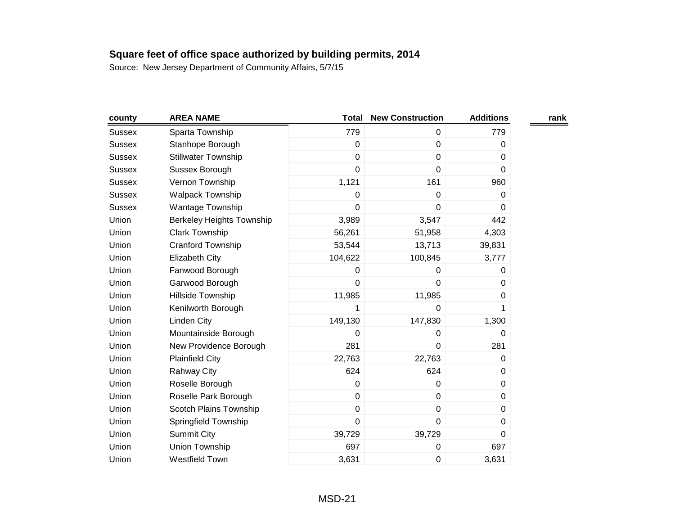| county        | <b>AREA NAME</b>                 | <b>Total</b>   | <b>New Construction</b> | <b>Additions</b> | rank |
|---------------|----------------------------------|----------------|-------------------------|------------------|------|
| <b>Sussex</b> | Sparta Township                  | 779            | 0                       | 779              |      |
| <b>Sussex</b> | Stanhope Borough                 | $\pmb{0}$      | 0                       | 0                |      |
| <b>Sussex</b> | <b>Stillwater Township</b>       | $\mathbf 0$    | 0                       | 0                |      |
| <b>Sussex</b> | Sussex Borough                   | $\overline{0}$ | $\mathbf 0$             | $\mathbf 0$      |      |
| <b>Sussex</b> | Vernon Township                  | 1,121          | 161                     | 960              |      |
| <b>Sussex</b> | <b>Walpack Township</b>          | 0              | 0                       | 0                |      |
| <b>Sussex</b> | <b>Wantage Township</b>          | $\mathbf 0$    | $\pmb{0}$               | 0                |      |
| Union         | <b>Berkeley Heights Township</b> | 3,989          | 3,547                   | 442              |      |
| Union         | <b>Clark Township</b>            | 56,261         | 51,958                  | 4,303            |      |
| Union         | Cranford Township                | 53,544         | 13,713                  | 39,831           |      |
| Union         | <b>Elizabeth City</b>            | 104,622        | 100,845                 | 3,777            |      |
| Union         | Fanwood Borough                  | 0              | 0                       | 0                |      |
| Union         | Garwood Borough                  | $\mathbf 0$    | 0                       | 0                |      |
| Union         | Hillside Township                | 11,985         | 11,985                  | 0                |      |
| Union         | Kenilworth Borough               | 1              | 0                       | 1                |      |
| Union         | <b>Linden City</b>               | 149,130        | 147,830                 | 1,300            |      |
| Union         | Mountainside Borough             | $\mathbf 0$    | 0                       | 0                |      |
| Union         | New Providence Borough           | 281            | $\pmb{0}$               | 281              |      |
| Union         | <b>Plainfield City</b>           | 22,763         | 22,763                  | 0                |      |
| Union         | Rahway City                      | 624            | 624                     | $\pmb{0}$        |      |
| Union         | Roselle Borough                  | $\pmb{0}$      | $\pmb{0}$               | 0                |      |
| Union         | Roselle Park Borough             | $\mathbf 0$    | $\pmb{0}$               | 0                |      |
| Union         | Scotch Plains Township           | $\pmb{0}$      | $\pmb{0}$               | 0                |      |
| Union         | Springfield Township             | $\mathbf 0$    | $\mathbf 0$             | 0                |      |
| Union         | <b>Summit City</b>               | 39,729         | 39,729                  | 0                |      |
| Union         | Union Township                   | 697            | 0                       | 697              |      |
| Union         | <b>Westfield Town</b>            | 3,631          | 0                       | 3,631            |      |